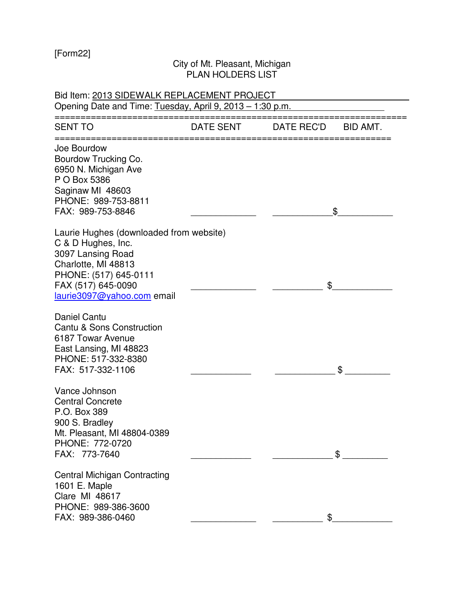[Form22]

## City of Mt. Pleasant, Michigan PLAN HOLDERS LIST

| Bid Item: 2013 SIDEWALK REPLACEMENT PROJECT<br>Opening Date and Time: Tuesday, April 9, 2013 - 1:30 p.m.                                                                               |           |                        |  |  |  |
|----------------------------------------------------------------------------------------------------------------------------------------------------------------------------------------|-----------|------------------------|--|--|--|
| SENT TO                                                                                                                                                                                | DATE SENT | DATE REC'D<br>BID AMT. |  |  |  |
| Joe Bourdow<br>Bourdow Trucking Co.<br>6950 N. Michigan Ave<br>P O Box 5386<br>Saginaw MI 48603<br>PHONE: 989-753-8811<br>FAX: 989-753-8846                                            |           | \$                     |  |  |  |
| Laurie Hughes (downloaded from website)<br>C & D Hughes, Inc.<br>3097 Lansing Road<br>Charlotte, MI 48813<br>PHONE: (517) 645-0111<br>FAX (517) 645-0090<br>laurie3097@yahoo.com email |           | \$                     |  |  |  |
| <b>Daniel Cantu</b><br>Cantu & Sons Construction<br>6187 Towar Avenue<br>East Lansing, MI 48823<br>PHONE: 517-332-8380<br>FAX: 517-332-1106                                            |           | \$                     |  |  |  |
| Vance Johnson<br><b>Central Concrete</b><br>P.O. Box 389<br>900 S. Bradley<br>Mt. Pleasant, MI 48804-0389<br>PHONE: 772-0720<br>FAX: 773-7640                                          |           |                        |  |  |  |
| <b>Central Michigan Contracting</b><br>1601 E. Maple<br><b>Clare MI 48617</b><br>PHONE: 989-386-3600<br>FAX: 989-386-0460                                                              |           |                        |  |  |  |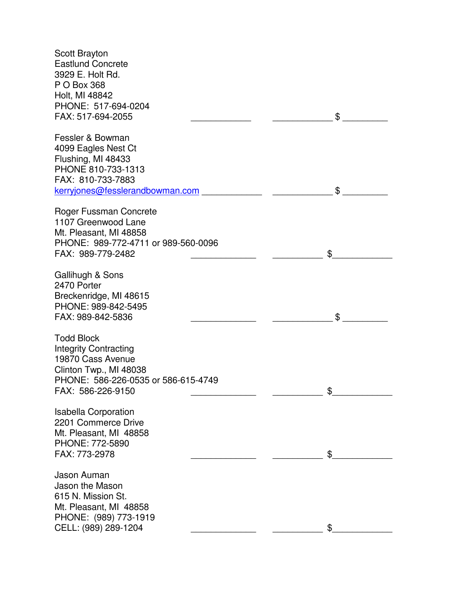| <b>Scott Brayton</b><br><b>Eastlund Concrete</b><br>3929 E. Holt Rd.<br>P O Box 368<br>Holt, MI 48842<br>PHONE: 517-694-0204<br>FAX: 517-694-2055            |    | \$ |
|--------------------------------------------------------------------------------------------------------------------------------------------------------------|----|----|
| Fessler & Bowman<br>4099 Eagles Nest Ct<br>Flushing, MI 48433<br>PHONE 810-733-1313<br>FAX: 810-733-7883<br>kerryjones@fesslerandbowman.com                  |    | \$ |
| Roger Fussman Concrete<br>1107 Greenwood Lane<br>Mt. Pleasant, MI 48858<br>PHONE: 989-772-4711 or 989-560-0096<br>FAX: 989-779-2482                          | \$ |    |
| Gallihugh & Sons<br>2470 Porter<br>Breckenridge, MI 48615<br>PHONE: 989-842-5495<br>FAX: 989-842-5836                                                        |    | \$ |
| <b>Todd Block</b><br><b>Integrity Contracting</b><br>19870 Cass Avenue<br>Clinton Twp., MI 48038<br>PHONE: 586-226-0535 or 586-615-4749<br>FAX: 586-226-9150 |    | \$ |
| <b>Isabella Corporation</b><br>2201 Commerce Drive<br>Mt. Pleasant, MI 48858<br>PHONE: 772-5890<br>FAX: 773-2978                                             |    | \$ |
| Jason Auman<br>Jason the Mason<br>615 N. Mission St.<br>Mt. Pleasant, MI 48858<br>PHONE: (989) 773-1919<br>CELL: (989) 289-1204                              |    | \$ |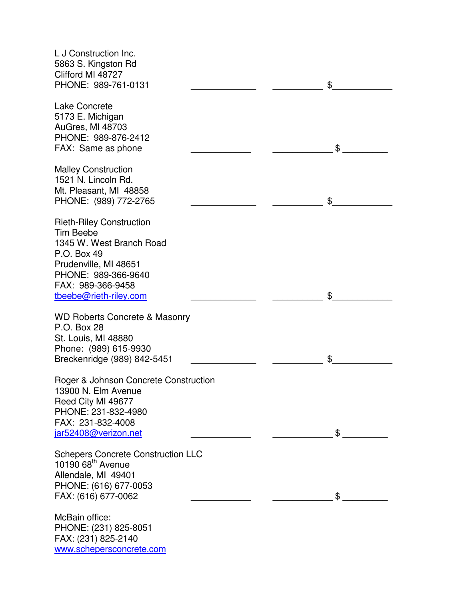| L J Construction Inc.<br>5863 S. Kingston Rd<br>Clifford MI 48727<br>PHONE: 989-761-0131                                                               | \$ |    |
|--------------------------------------------------------------------------------------------------------------------------------------------------------|----|----|
| <b>Lake Concrete</b><br>5173 E. Michigan<br><b>AuGres, MI 48703</b><br>PHONE: 989-876-2412                                                             |    |    |
| FAX: Same as phone                                                                                                                                     |    | \$ |
| <b>Malley Construction</b><br>1521 N. Lincoln Rd.<br>Mt. Pleasant, MI 48858<br>PHONE: (989) 772-2765                                                   | \$ |    |
| <b>Rieth-Riley Construction</b><br><b>Tim Beebe</b><br>1345 W. West Branch Road<br>P.O. Box 49<br>Prudenville, MI 48651<br>PHONE: 989-366-9640         |    |    |
| FAX: 989-366-9458<br>tbeebe@rieth-riley.com                                                                                                            | \$ |    |
| <b>WD Roberts Concrete &amp; Masonry</b><br>P.O. Box 28<br>St. Louis, MI 48880<br>Phone: (989) 615-9930<br>Breckenridge (989) 842-5451                 | \$ |    |
| Roger & Johnson Concrete Construction<br>13900 N. Elm Avenue<br>Reed City MI 49677<br>PHONE: 231-832-4980<br>FAX: 231-832-4008<br>jar52408@verizon.net |    | \$ |
| <b>Schepers Concrete Construction LLC</b><br>10190 68 <sup>th</sup> Avenue<br>Allendale, MI 49401<br>PHONE: (616) 677-0053<br>FAX: (616) 677-0062      |    | \$ |
| McBain office:<br>PHONE: (231) 825-8051<br>FAX: (231) 825-2140<br>www.schepersconcrete.com                                                             |    |    |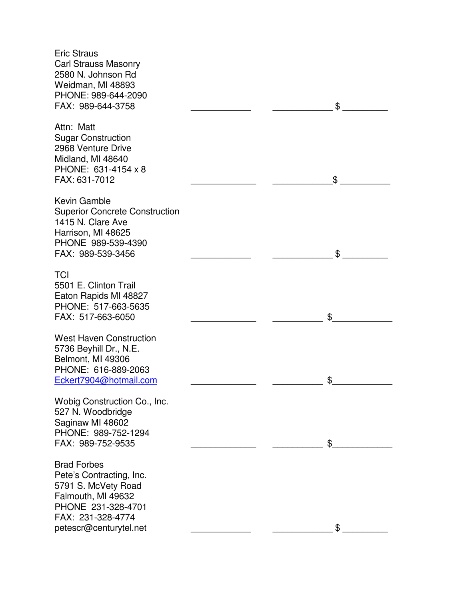Eric Straus Carl Strauss Masonry 2580 N. Johnson Rd Weidman, MI 48893 PHONE: 989-644-2090 FAX: 989-644-3758 \_\_\_\_\_\_\_\_\_\_\_\_ \_\_\_\_\_\_\_\_\_\_\_\_ \$ \_\_\_\_\_\_\_\_\_ Attn: Matt Sugar Construction 2968 Venture Drive Midland, MI 48640 PHONE: 631-4154 x 8 FAX: 631-7012 \$ Kevin Gamble Superior Concrete Construction 1415 N. Clare Ave Harrison, MI 48625 PHONE 989-539-4390 FAX: 989-539-3456 \_\_\_\_\_\_\_\_\_\_\_\_ \_\_\_\_\_\_\_\_\_\_\_\_ \$ \_\_\_\_\_\_\_\_\_ **TCI** 5501 E. Clinton Trail Eaton Rapids MI 48827 PHONE: 517-663-5635 FAX: 517-663-6050 \_\_\_\_\_\_\_\_\_\_\_\_\_ \_\_\_\_\_\_\_\_\_\_ \$\_\_\_\_\_\_\_\_\_\_\_\_ West Haven Construction 5736 Beyhill Dr., N.E. Belmont, MI 49306 PHONE: 616-889-2063 Eckert7904@hotmail.com **\$** Wobig Construction Co., Inc. 527 N. Woodbridge Saginaw MI 48602 PHONE: 989-752-1294 FAX: 989-752-9535  $\sim$ Brad Forbes Pete's Contracting, Inc. 5791 S. McVety Road Falmouth, MI 49632 PHONE 231-328-4701 FAX: 231-328-4774 petescr@centurytel.net \_\_\_\_\_\_\_\_\_\_\_\_\_\_\_\_\_\_\_\_\_\_ \$ \_\_\_\_\_\_\_\_\_\_ \$